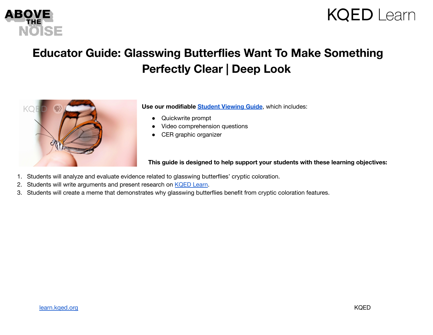



## **Educator Guide: Glasswing Butterflies Want To Make Something Perfectly Clear | Deep Look**



**Use our modifiable Student [Viewing](https://docs.google.com/document/d/1Y3iYjHY56v7m_1OalwjWT8jqnjREq-o90DsrC_kagec/copy) Guide**, which includes:

- Quickwrite prompt
- Video comprehension questions
- CER graphic organizer

**This guide is designed to help support your students with these learning objectives:**

- 1. Students will analyze and evaluate evidence related to glasswing butterflies' cryptic coloration.
- 2. Students will write arguments and present research on [KQED](https://learn.kqed.org/discussions/92) Learn.
- 3. Students will create a meme that demonstrates why glasswing butterflies benefit from cryptic coloration features.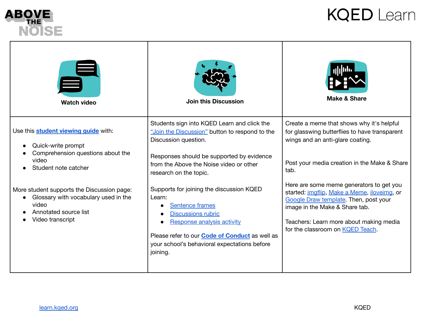

Г

## **KQED Learn**

| <b>Watch video</b>                                                                                                                                                                                                                                                                               | <b>Join this Discussion</b>                                                                                                                                                                                                                                                                                                                                                                                                                                                                      | <b>Make &amp; Share</b>                                                                                                                                                                                                                                                                                                                                                                                                                     |
|--------------------------------------------------------------------------------------------------------------------------------------------------------------------------------------------------------------------------------------------------------------------------------------------------|--------------------------------------------------------------------------------------------------------------------------------------------------------------------------------------------------------------------------------------------------------------------------------------------------------------------------------------------------------------------------------------------------------------------------------------------------------------------------------------------------|---------------------------------------------------------------------------------------------------------------------------------------------------------------------------------------------------------------------------------------------------------------------------------------------------------------------------------------------------------------------------------------------------------------------------------------------|
| Use this <b>student viewing guide</b> with:<br>Quick-write prompt<br>Comprehension questions about the<br>video<br>Student note catcher<br>More student supports the Discussion page:<br>Glossary with vocabulary used in the<br>$\bullet$<br>video<br>Annotated source list<br>Video transcript | Students sign into KQED Learn and click the<br>"Join the Discussion" button to respond to the<br>Discussion question.<br>Responses should be supported by evidence<br>from the Above the Noise video or other<br>research on the topic.<br>Supports for joining the discussion KQED<br>Learn:<br>Sentence frames<br><b>Discussions rubric</b><br>Response analysis activity<br>Please refer to our <b>Code of Conduct</b> as well as<br>your school's behavioral expectations before<br>joining. | Create a meme that shows why it's helpful<br>for glasswing butterflies to have transparent<br>wings and an anti-glare coating.<br>Post your media creation in the Make & Share<br>tab.<br>Here are some meme generators to get you<br>started: imgflip, Make a Meme, iloveimg, or<br>Google Draw template. Then, post your<br>image in the Make & Share tab.<br>Teachers: Learn more about making media<br>for the classroom on KQED Teach. |

т